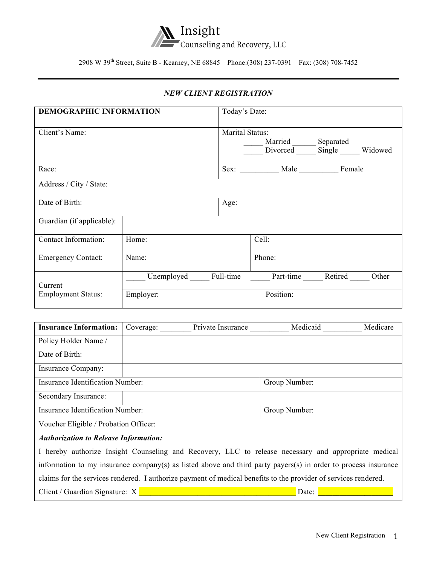

2908 W 39th Street, Suite B - Kearney, NE 68845 – Phone:(308) 237-0391 – Fax: (308) 708-7452

## *NEW CLIENT REGISTRATION*

| <b>DEMOGRAPHIC INFORMATION</b> |           | Today's Date:   |                            |                                              |
|--------------------------------|-----------|-----------------|----------------------------|----------------------------------------------|
| Client's Name:                 |           | Marital Status: | Married ________ Separated | Divorced Single Widowed                      |
| Race:                          |           |                 | Sex: Male Female           |                                              |
| Address / City / State:        |           |                 |                            |                                              |
| Date of Birth:                 |           | Age:            |                            |                                              |
| Guardian (if applicable):      |           |                 |                            |                                              |
| Contact Information:           | Home:     |                 | Cell:                      |                                              |
| <b>Emergency Contact:</b>      | Name:     |                 | Phone:                     |                                              |
| Current                        |           |                 |                            | Unemployed Full-time Part-time Retired Other |
| <b>Employment Status:</b>      | Employer: |                 | Position:                  |                                              |

| <b>Insurance Information:</b>                                                                        | Coverage: | Private Insurance | Medicaid      | Medicare |
|------------------------------------------------------------------------------------------------------|-----------|-------------------|---------------|----------|
| Policy Holder Name /                                                                                 |           |                   |               |          |
| Date of Birth:                                                                                       |           |                   |               |          |
| Insurance Company:                                                                                   |           |                   |               |          |
| Insurance Identification Number:                                                                     |           |                   | Group Number: |          |
| Secondary Insurance:                                                                                 |           |                   |               |          |
| Insurance Identification Number:                                                                     |           |                   | Group Number: |          |
| Voucher Eligible / Probation Officer:                                                                |           |                   |               |          |
| <b>Authorization to Release Information:</b>                                                         |           |                   |               |          |
| I hereby authorize Insight Counseling and Recovery, LLC to release necessary and appropriate medical |           |                   |               |          |

information to my insurance company(s) as listed above and third party payers(s) in order to process insurance claims for the services rendered. I authorize payment of medical benefits to the provider of services rendered. Client / Guardian Signature: X **With a strategies of the strategies of the strategies** Date: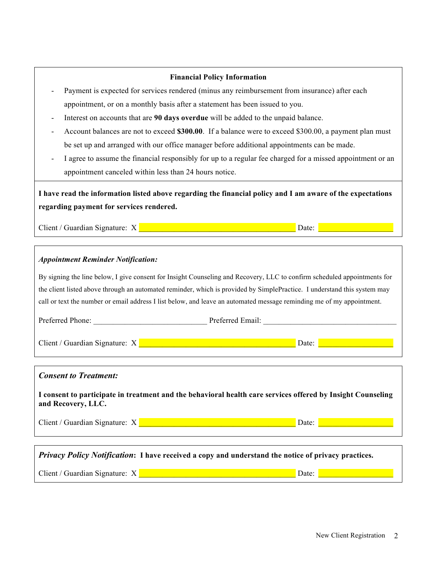| <b>Financial Policy Information</b>                                                                                                                                                                                                |                                               |
|------------------------------------------------------------------------------------------------------------------------------------------------------------------------------------------------------------------------------------|-----------------------------------------------|
| Payment is expected for services rendered (minus any reimbursement from insurance) after each                                                                                                                                      |                                               |
| appointment, or on a monthly basis after a statement has been issued to you.                                                                                                                                                       |                                               |
| Interest on accounts that are 90 days overdue will be added to the unpaid balance.                                                                                                                                                 |                                               |
| Account balances are not to exceed \$300.00. If a balance were to exceed \$300.00, a payment plan must                                                                                                                             |                                               |
| be set up and arranged with our office manager before additional appointments can be made.                                                                                                                                         |                                               |
| I agree to assume the financial responsibly for up to a regular fee charged for a missed appointment or an                                                                                                                         |                                               |
| appointment canceled within less than 24 hours notice.                                                                                                                                                                             |                                               |
| I have read the information listed above regarding the financial policy and I am aware of the expectations                                                                                                                         |                                               |
| regarding payment for services rendered.                                                                                                                                                                                           |                                               |
| Client / Guardian Signature: X <b>Constitution of the Constitution</b> Date: Date: Date: Date: Date: Date: Date: Date: Date: Date: Date: Date: Date: Date: Date: Date: Date: Date: Date: Date: Date: Date: Date: Date: Date: Date: |                                               |
|                                                                                                                                                                                                                                    |                                               |
| <b>Appointment Reminder Notification:</b>                                                                                                                                                                                          |                                               |
| By signing the line below, I give consent for Insight Counseling and Recovery, LLC to confirm scheduled appointments for                                                                                                           |                                               |
| the client listed above through an automated reminder, which is provided by SimplePractice. I understand this system may                                                                                                           |                                               |
| call or text the number or email address I list below, and leave an automated message reminding me of my appointment.                                                                                                              |                                               |
| Preferred Phone: Preferred Email: Preferred Email:                                                                                                                                                                                 |                                               |
|                                                                                                                                                                                                                                    |                                               |
|                                                                                                                                                                                                                                    |                                               |
|                                                                                                                                                                                                                                    |                                               |
| <b>Consent to Treatment:</b>                                                                                                                                                                                                       |                                               |
| I consent to participate in treatment and the behavioral health care services offered by Insight Counseling<br>and Recovery, LLC.                                                                                                  |                                               |
| Client / Guardian Signature: X Value of the Client Community of the Client Community of the Client Community of the Client Community of the Client Community of the Client Community of the Client Community of the Client Com     | Date: <b>Exercise Service</b> Service Service |
|                                                                                                                                                                                                                                    |                                               |
| Privacy Policy Notification: I have received a copy and understand the notice of privacy practices.                                                                                                                                |                                               |

Client / Guardian Signature: X \_\_\_\_\_\_\_\_\_\_\_\_\_\_\_\_\_\_\_\_\_\_\_\_\_\_\_\_\_\_\_\_\_\_\_\_\_\_\_\_ Date: \_\_\_\_\_\_\_\_\_\_\_\_\_\_\_\_\_\_\_\_\_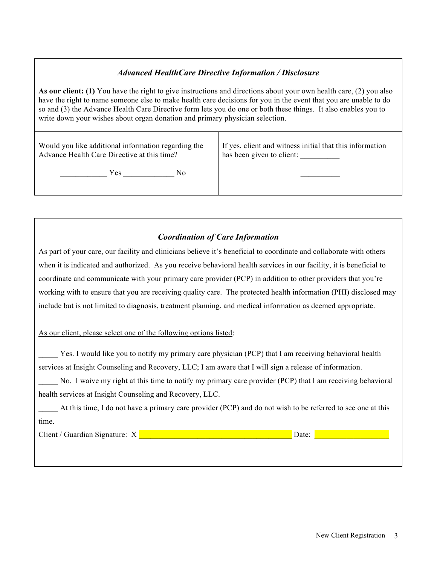## *Advanced HealthCare Directive Information / Disclosure*

**As our client: (1)** You have the right to give instructions and directions about your own health care, (2) you also have the right to name someone else to make health care decisions for you in the event that you are unable to do so and (3) the Advance Health Care Directive form lets you do one or both these things. It also enables you to write down your wishes about organ donation and primary physician selection.

| Would you like additional information regarding the | If yes, client and witness initial that this information |
|-----------------------------------------------------|----------------------------------------------------------|
| Advance Health Care Directive at this time?         | has been given to client:                                |
| Yes<br>Nο                                           |                                                          |

# *Coordination of Care Information*

As part of your care, our facility and clinicians believe it's beneficial to coordinate and collaborate with others when it is indicated and authorized. As you receive behavioral health services in our facility, it is beneficial to coordinate and communicate with your primary care provider (PCP) in addition to other providers that you're working with to ensure that you are receiving quality care. The protected health information (PHI) disclosed may include but is not limited to diagnosis, treatment planning, and medical information as deemed appropriate.

As our client, please select one of the following options listed:

Yes. I would like you to notify my primary care physician (PCP) that I am receiving behavioral health services at Insight Counseling and Recovery, LLC; I am aware that I will sign a release of information.

No. I waive my right at this time to notify my primary care provider (PCP) that I am receiving behavioral health services at Insight Counseling and Recovery, LLC.

At this time, I do not have a primary care provider (PCP) and do not wish to be referred to see one at this time.

Client / Guardian Signature: X \_\_\_\_\_\_\_\_\_\_\_\_\_\_\_\_\_\_\_\_\_\_\_\_\_\_\_\_\_\_\_\_\_\_\_\_\_\_\_ Date: \_\_\_\_\_\_\_\_\_\_\_\_\_\_\_\_\_\_\_\_\_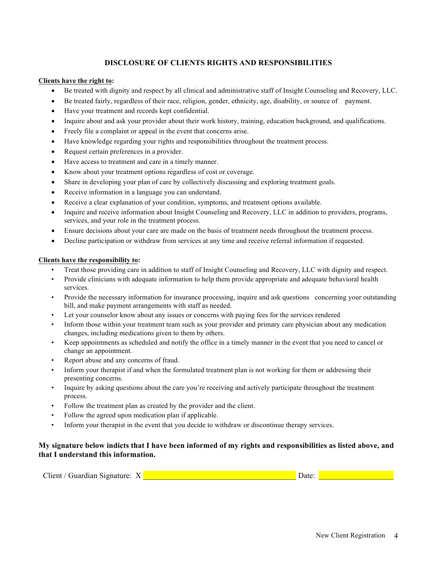## **DISCLOSURE OF CLIENTS RIGHTS AND RESPONSIBILITIES**

#### **Clients have the right to:**

- Be treated with dignity and respect by all clinical and administrative staff of Insight Counseling and Recovery, LLC.
- Be treated fairly, regardless of their race, religion, gender, ethnicity, age, disability, or source of payment.
- Have your treatment and records kept confidential.
- Inquire about and ask your provider about their work history, training, education background, and qualifications.
- Freely file a complaint or appeal in the event that concerns arise.
- Have knowledge regarding your rights and responsibilities throughout the treatment process.
- Request certain preferences in a provider.
- Have access to treatment and care in a timely manner.
- Know about your treatment options regardless of cost or coverage.
- Share in developing your plan of care by collectively discussing and exploring treatment goals.
- Receive information in a language you can understand.
- Receive a clear explanation of your condition, symptoms, and treatment options available.
- Inquire and receive information about Insight Counseling and Recovery, LLC in addition to providers, programs, services, and your role in the treatment process.
- Ensure decisions about your care are made on the basis of treatment needs throughout the treatment process.
- Decline participation or withdraw from services at any time and receive referral information if requested.

#### **Clients have the responsibility to:**

- Treat those providing care in addition to staff of Insight Counseling and Recovery, LLC with dignity and respect.
- Provide clinicians with adequate information to help them provide appropriate and adequate behavioral health services.
- Provide the necessary information for insurance processing, inquire and ask questions concerning your outstanding bill, and make payment arrangements with staff as needed.
- Let your counselor know about any issues or concerns with paying fees for the services rendered
- Inform those within your treatment team such as your provider and primary care physician about any medication changes, including medications given to them by others.
- Keep appointments as scheduled and notify the office in a timely manner in the event that you need to cancel or change an appointment.
- Report abuse and any concerns of fraud.
- Inform your therapist if and when the formulated treatment plan is not working for them or addressing their presenting concerns.
- Inquire by asking questions about the care you're receiving and actively participate throughout the treatment process.
- Follow the treatment plan as created by the provider and the client.
- Follow the agreed upon medication plan if applicable.
- Inform your therapist in the event that you decide to withdraw or discontinue therapy services.

## **My signature below indicts that I have been informed of my rights and responsibilities as listed above, and that I understand this information.**

| Client $\prime$<br>Signature:<br>. ruardıan |  | $-1$ |  |
|---------------------------------------------|--|------|--|
|---------------------------------------------|--|------|--|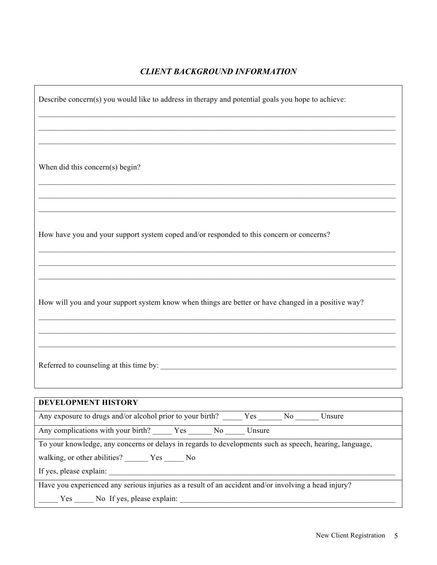# *CLIENT BACKGROUND INFORMATION*

 $\mathsf{r}$ 

| Describe concern(s) you would like to address in therapy and potential goals you hope to achieve:       |
|---------------------------------------------------------------------------------------------------------|
|                                                                                                         |
|                                                                                                         |
| When did this concern(s) begin?                                                                         |
|                                                                                                         |
| How have you and your support system coped and/or responded to this concern or concerns?                |
|                                                                                                         |
|                                                                                                         |
| How will you and your support system know when things are better or have changed in a positive way?     |
|                                                                                                         |
|                                                                                                         |
| DEVELOPMENT HISTORY                                                                                     |
| Any exposure to drugs and/or alcohol prior to your birth? ______ Yes ______ No ______ Unsure            |
| Any complications with your birth? Yes No No Unsure                                                     |
| To your knowledge, any concerns or delays in regards to developments such as speech, hearing, language, |
|                                                                                                         |
|                                                                                                         |
| Have you experienced any serious injuries as a result of an accident and/or involving a head injury?    |
| Yes No If yes, please explain:                                                                          |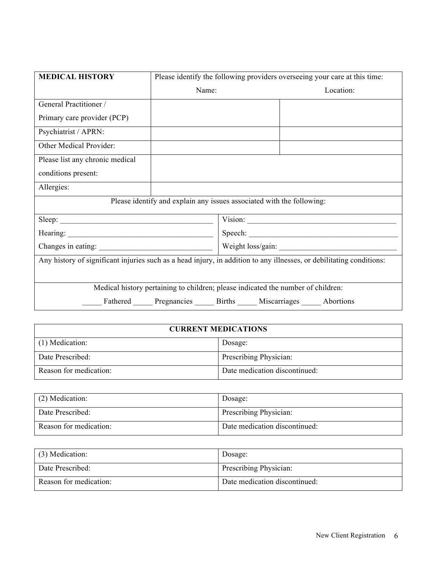| <b>MEDICAL HISTORY</b>                                                                                               | Please identify the following providers overseeing your care at this time: |  |                                                    |  |
|----------------------------------------------------------------------------------------------------------------------|----------------------------------------------------------------------------|--|----------------------------------------------------|--|
|                                                                                                                      | Name:                                                                      |  | Location:                                          |  |
| General Practitioner /                                                                                               |                                                                            |  |                                                    |  |
| Primary care provider (PCP)                                                                                          |                                                                            |  |                                                    |  |
| Psychiatrist / APRN:                                                                                                 |                                                                            |  |                                                    |  |
| Other Medical Provider:                                                                                              |                                                                            |  |                                                    |  |
| Please list any chronic medical                                                                                      |                                                                            |  |                                                    |  |
| conditions present:                                                                                                  |                                                                            |  |                                                    |  |
| Allergies:                                                                                                           |                                                                            |  |                                                    |  |
|                                                                                                                      | Please identify and explain any issues associated with the following:      |  |                                                    |  |
| Sleep:                                                                                                               |                                                                            |  | Vision: Vision:                                    |  |
|                                                                                                                      |                                                                            |  |                                                    |  |
|                                                                                                                      |                                                                            |  |                                                    |  |
| Any history of significant injuries such as a head injury, in addition to any illnesses, or debilitating conditions: |                                                                            |  |                                                    |  |
|                                                                                                                      |                                                                            |  |                                                    |  |
| Medical history pertaining to children; please indicated the number of children:                                     |                                                                            |  |                                                    |  |
|                                                                                                                      |                                                                            |  | Fathered Pregnancies Births Miscarriages Abortions |  |

| <b>CURRENT MEDICATIONS</b> |                               |
|----------------------------|-------------------------------|
| (1) Medication:            | Dosage:                       |
| Date Prescribed:           | Prescribing Physician:        |
| Reason for medication:     | Date medication discontinued: |

| $(2)$ Medication:      | Dosage:                       |
|------------------------|-------------------------------|
| Date Prescribed:       | Prescribing Physician:        |
| Reason for medication: | Date medication discontinued: |

| (3) Medication:        | Dosage:                       |
|------------------------|-------------------------------|
| Date Prescribed:       | Prescribing Physician:        |
| Reason for medication: | Date medication discontinued: |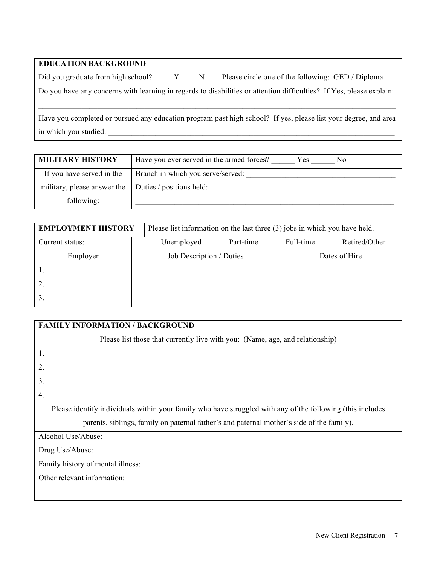| <b>EDUCATION BACKGROUND</b>                                                                                                              |                                                   |  |
|------------------------------------------------------------------------------------------------------------------------------------------|---------------------------------------------------|--|
| Did you graduate from high school? Y N                                                                                                   | Please circle one of the following: GED / Diploma |  |
| Do you have any concerns with learning in regards to disabilities or attention difficulties? If Yes, please explain:                     |                                                   |  |
| Have you completed or pursued any education program past high school? If yes, please list your degree, and area<br>in which you studied: |                                                   |  |

 $\overline{\phantom{a}}$ 

| <b>MILITARY HISTORY</b>                                | Have you ever served in the armed forces?<br>Yes.<br>Nο |
|--------------------------------------------------------|---------------------------------------------------------|
| If you have served in the                              | Branch in which you serve/served:                       |
| military, please answer the   Duties / positions held: |                                                         |
| following:                                             |                                                         |

| <b>EMPLOYMENT HISTORY</b> | Please list information on the last three (3) jobs in which you have held. |                            |  |
|---------------------------|----------------------------------------------------------------------------|----------------------------|--|
| Current status:           | Unemployed Part-time                                                       | Retired/Other<br>Full-time |  |
| Employer                  | Job Description / Duties                                                   | Dates of Hire              |  |
|                           |                                                                            |                            |  |
|                           |                                                                            |                            |  |
|                           |                                                                            |                            |  |

| <b>FAMILY INFORMATION / BACKGROUND</b>                                                                     |  |  |  |
|------------------------------------------------------------------------------------------------------------|--|--|--|
| Please list those that currently live with you: (Name, age, and relationship)                              |  |  |  |
| 1.                                                                                                         |  |  |  |
| 2.                                                                                                         |  |  |  |
| 3.                                                                                                         |  |  |  |
| $\overline{4}$ .                                                                                           |  |  |  |
| Please identify individuals within your family who have struggled with any of the following (this includes |  |  |  |
| parents, siblings, family on paternal father's and paternal mother's side of the family).                  |  |  |  |
| Alcohol Use/Abuse:                                                                                         |  |  |  |
| Drug Use/Abuse:                                                                                            |  |  |  |
| Family history of mental illness:                                                                          |  |  |  |
| Other relevant information:                                                                                |  |  |  |
|                                                                                                            |  |  |  |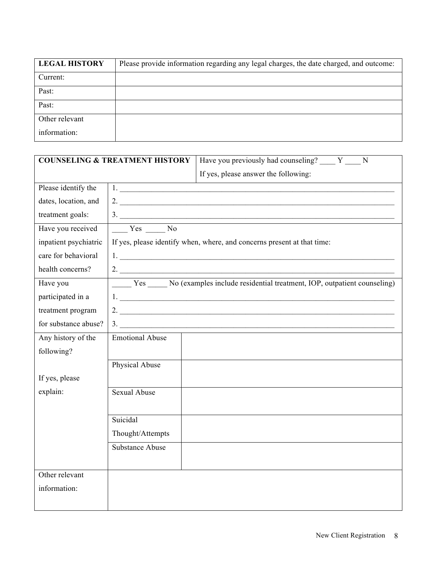| <b>LEGAL HISTORY</b> | Please provide information regarding any legal charges, the date charged, and outcome: |
|----------------------|----------------------------------------------------------------------------------------|
| Current:             |                                                                                        |
| Past:                |                                                                                        |
| Past:                |                                                                                        |
| Other relevant       |                                                                                        |
| information:         |                                                                                        |

| <b>COUNSELING &amp; TREATMENT HISTORY</b> |                        | Have you previously had counseling? Y N                                                                                                                                                                                                                                                                                |
|-------------------------------------------|------------------------|------------------------------------------------------------------------------------------------------------------------------------------------------------------------------------------------------------------------------------------------------------------------------------------------------------------------|
|                                           |                        | If yes, please answer the following:                                                                                                                                                                                                                                                                                   |
| Please identify the                       |                        | 1.                                                                                                                                                                                                                                                                                                                     |
| dates, location, and                      |                        | 2. $\frac{1}{2}$ $\frac{1}{2}$ $\frac{1}{2}$ $\frac{1}{2}$ $\frac{1}{2}$ $\frac{1}{2}$ $\frac{1}{2}$ $\frac{1}{2}$ $\frac{1}{2}$ $\frac{1}{2}$ $\frac{1}{2}$ $\frac{1}{2}$ $\frac{1}{2}$ $\frac{1}{2}$ $\frac{1}{2}$ $\frac{1}{2}$ $\frac{1}{2}$ $\frac{1}{2}$ $\frac{1}{2}$ $\frac{1}{2}$ $\frac{1}{2}$ $\frac{1}{2}$ |
| treatment goals:                          |                        | $\frac{3}{\sqrt{2}}$                                                                                                                                                                                                                                                                                                   |
| Have you received                         | $Yes$ No               |                                                                                                                                                                                                                                                                                                                        |
| inpatient psychiatric                     |                        | If yes, please identify when, where, and concerns present at that time:                                                                                                                                                                                                                                                |
| care for behavioral                       |                        |                                                                                                                                                                                                                                                                                                                        |
| health concerns?                          |                        |                                                                                                                                                                                                                                                                                                                        |
| Have you                                  |                        | Yes _______ No (examples include residential treatment, IOP, outpatient counseling)                                                                                                                                                                                                                                    |
| participated in a                         |                        |                                                                                                                                                                                                                                                                                                                        |
| treatment program                         |                        |                                                                                                                                                                                                                                                                                                                        |
| for substance abuse?                      |                        | $\frac{3}{2}$                                                                                                                                                                                                                                                                                                          |
| Any history of the                        | <b>Emotional Abuse</b> |                                                                                                                                                                                                                                                                                                                        |
| following?                                |                        |                                                                                                                                                                                                                                                                                                                        |
|                                           | Physical Abuse         |                                                                                                                                                                                                                                                                                                                        |
| If yes, please                            |                        |                                                                                                                                                                                                                                                                                                                        |
| explain:                                  | <b>Sexual Abuse</b>    |                                                                                                                                                                                                                                                                                                                        |
|                                           |                        |                                                                                                                                                                                                                                                                                                                        |
|                                           | Suicidal               |                                                                                                                                                                                                                                                                                                                        |
|                                           | Thought/Attempts       |                                                                                                                                                                                                                                                                                                                        |
|                                           | <b>Substance Abuse</b> |                                                                                                                                                                                                                                                                                                                        |
|                                           |                        |                                                                                                                                                                                                                                                                                                                        |
| Other relevant                            |                        |                                                                                                                                                                                                                                                                                                                        |
| information:                              |                        |                                                                                                                                                                                                                                                                                                                        |
|                                           |                        |                                                                                                                                                                                                                                                                                                                        |
|                                           |                        |                                                                                                                                                                                                                                                                                                                        |